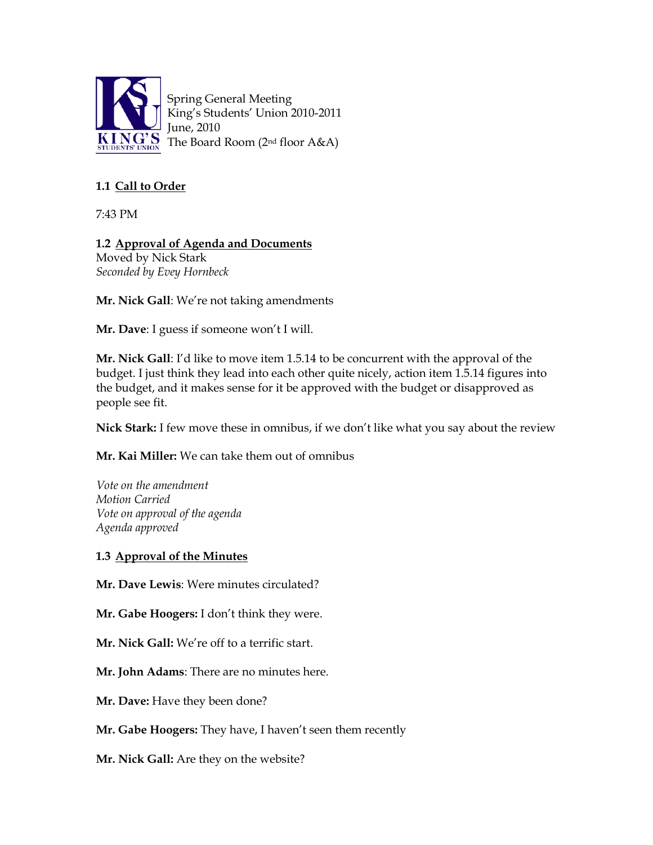

Spring General Meeting King's Students' Union 2010-2011 June, 2010 The Board Room (2nd floor A&A)

# **1.1 Call to Order**

7:43 PM

**1.2 Approval of Agenda and Documents** Moved by Nick Stark *Seconded by Evey Hornbeck*

**Mr. Nick Gall**: We're not taking amendments

**Mr. Dave**: I guess if someone won't I will.

**Mr. Nick Gall**: I'd like to move item 1.5.14 to be concurrent with the approval of the budget. I just think they lead into each other quite nicely, action item 1.5.14 figures into the budget, and it makes sense for it be approved with the budget or disapproved as people see fit.

**Nick Stark:** I few move these in omnibus, if we don't like what you say about the review

**Mr. Kai Miller:** We can take them out of omnibus

*Vote on the amendment Motion Carried Vote on approval of the agenda Agenda approved*

#### **1.3 Approval of the Minutes**

**Mr. Dave Lewis**: Were minutes circulated?

**Mr. Gabe Hoogers:** I don't think they were.

**Mr. Nick Gall:** We're off to a terrific start.

**Mr. John Adams**: There are no minutes here.

**Mr. Dave:** Have they been done?

**Mr. Gabe Hoogers:** They have, I haven't seen them recently

**Mr. Nick Gall:** Are they on the website?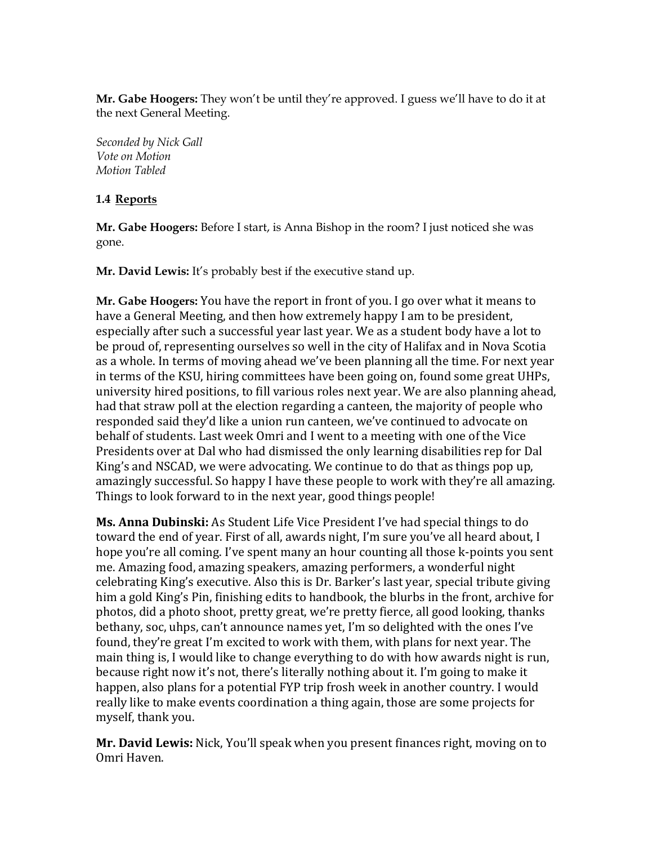**Mr. Gabe Hoogers:** They won't be until they're approved. I guess we'll have to do it at the next General Meeting.

*Seconded by Nick Gall Vote on Motion Motion Tabled*

#### **1.4 Reports**

**Mr. Gabe Hoogers:** Before I start, is Anna Bishop in the room? I just noticed she was gone.

**Mr. David Lewis:** It's probably best if the executive stand up.

**Mr. Gabe Hoogers:** You have the report in front of you. I go over what it means to have a General Meeting, and then how extremely happy I am to be president, especially after such a successful year last year. We as a student body have a lot to be proud of, representing ourselves so well in the city of Halifax and in Nova Scotia as a whole. In terms of moving ahead we've been planning all the time. For next year in terms of the KSU, hiring committees have been going on, found some great UHPs, university hired positions, to fill various roles next year. We are also planning ahead, had that straw poll at the election regarding a canteen, the majority of people who responded said they'd like a union run canteen, we've continued to advocate on behalf of students. Last week Omri and I went to a meeting with one of the Vice Presidents over at Dal who had dismissed the only learning disabilities rep for Dal King's and NSCAD, we were advocating. We continue to do that as things pop up, amazingly successful. So happy I have these people to work with they're all amazing. Things to look forward to in the next year, good things people!

**Ms. Anna Dubinski:** As Student Life Vice President I've had special things to do toward the end of year. First of all, awards night, I'm sure you've all heard about, I hope you're all coming. I've spent many an hour counting all those k-points you sent me. Amazing food, amazing speakers, amazing performers, a wonderful night celebrating King's executive. Also this is Dr. Barker's last year, special tribute giving him a gold King's Pin, finishing edits to handbook, the blurbs in the front, archive for photos, did a photo shoot, pretty great, we're pretty fierce, all good looking, thanks bethany, soc, uhps, can't announce names yet, I'm so delighted with the ones I've found, they're great I'm excited to work with them, with plans for next year. The main thing is, I would like to change everything to do with how awards night is run, because right now it's not, there's literally nothing about it. I'm going to make it happen, also plans for a potential FYP trip frosh week in another country. I would really like to make events coordination a thing again, those are some projects for myself, thank you.

**Mr. David Lewis:** Nick, You'll speak when you present finances right, moving on to Omri Haven.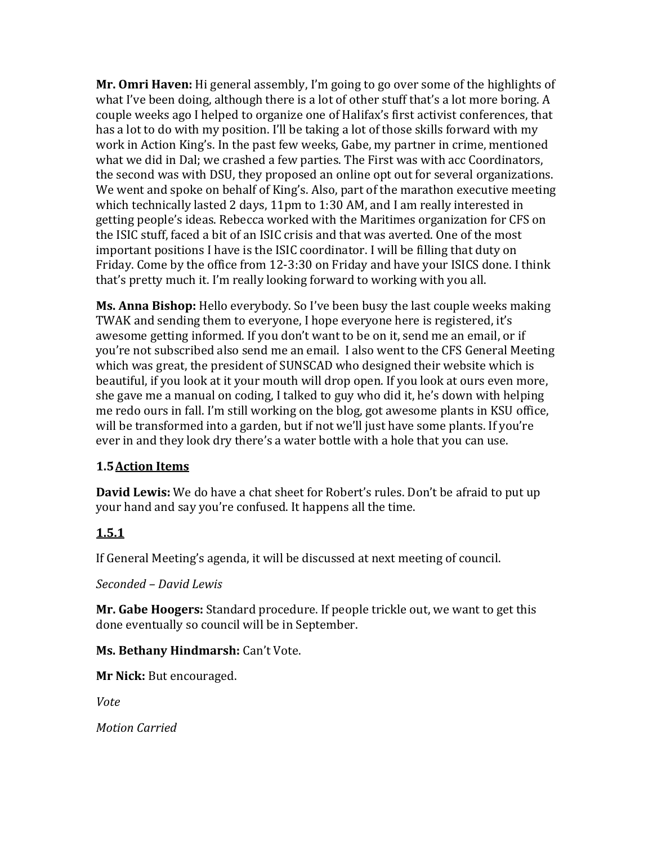**Mr. Omri Haven:** Hi general assembly, I'm going to go over some of the highlights of what I've been doing, although there is a lot of other stuff that's a lot more boring. A couple weeks ago I helped to organize one of Halifax's first activist conferences, that has a lot to do with my position. I'll be taking a lot of those skills forward with my work in Action King's. In the past few weeks, Gabe, my partner in crime, mentioned what we did in Dal; we crashed a few parties. The First was with acc Coordinators, the second was with DSU, they proposed an online opt out for several organizations. We went and spoke on behalf of King's. Also, part of the marathon executive meeting which technically lasted 2 days, 11pm to 1:30 AM, and I am really interested in getting people's ideas. Rebecca worked with the Maritimes organization for CFS on the ISIC stuff, faced a bit of an ISIC crisis and that was averted. One of the most important positions I have is the ISIC coordinator. I will be filling that duty on Friday. Come by the office from 12-3:30 on Friday and have your ISICS done. I think that's pretty much it. I'm really looking forward to working with you all.

**Ms. Anna Bishop:** Hello everybody. So I've been busy the last couple weeks making TWAK and sending them to everyone, I hope everyone here is registered, it's awesome getting informed. If you don't want to be on it, send me an email, or if you're not subscribed also send me an email. I also went to the CFS General Meeting which was great, the president of SUNSCAD who designed their website which is beautiful, if you look at it your mouth will drop open. If you look at ours even more, she gave me a manual on coding, I talked to guy who did it, he's down with helping me redo ours in fall. I'm still working on the blog, got awesome plants in KSU office, will be transformed into a garden, but if not we'll just have some plants. If you're ever in and they look dry there's a water bottle with a hole that you can use.

# **1.5Action Items**

**David Lewis:** We do have a chat sheet for Robert's rules. Don't be afraid to put up your hand and say you're confused. It happens all the time.

# **1.5.1**

If General Meeting's agenda, it will be discussed at next meeting of council.

*Seconded – David Lewis*

**Mr. Gabe Hoogers:** Standard procedure. If people trickle out, we want to get this done eventually so council will be in September.

# **Ms. Bethany Hindmarsh:** Can't Vote.

**Mr Nick:** But encouraged.

*Vote*

*Motion Carried*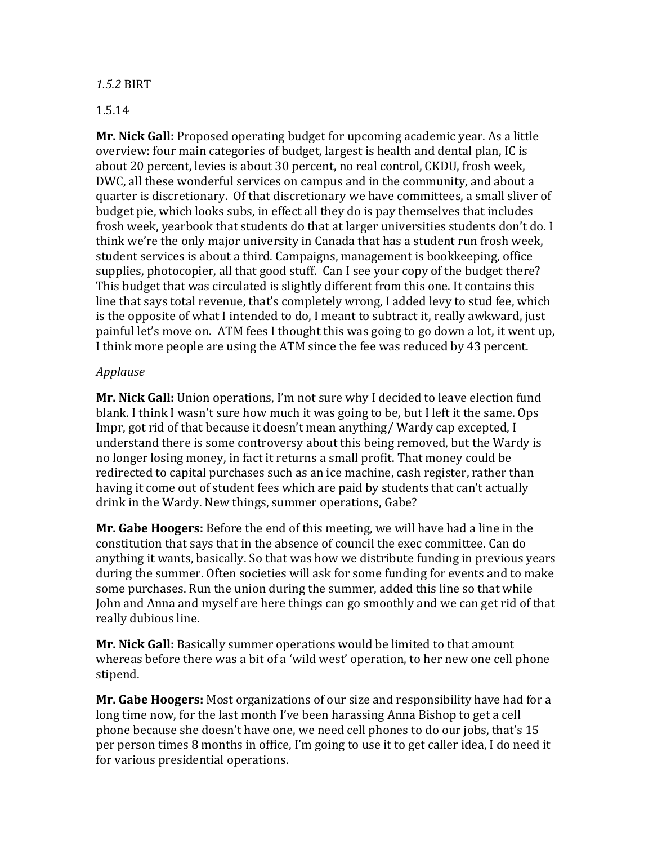#### *1.5.2* BIRT

#### 1.5.14

**Mr. Nick Gall:** Proposed operating budget for upcoming academic year. As a little overview: four main categories of budget, largest is health and dental plan, IC is about 20 percent, levies is about 30 percent, no real control, CKDU, frosh week, DWC, all these wonderful services on campus and in the community, and about a quarter is discretionary. Of that discretionary we have committees, a small sliver of budget pie, which looks subs, in effect all they do is pay themselves that includes frosh week, yearbook that students do that at larger universities students don't do. I think we're the only major university in Canada that has a student run frosh week, student services is about a third. Campaigns, management is bookkeeping, office supplies, photocopier, all that good stuff. Can I see your copy of the budget there? This budget that was circulated is slightly different from this one. It contains this line that says total revenue, that's completely wrong, I added levy to stud fee, which is the opposite of what I intended to do, I meant to subtract it, really awkward, just painful let's move on. ATM fees I thought this was going to go down a lot, it went up, I think more people are using the ATM since the fee was reduced by 43 percent.

## *Applause*

**Mr. Nick Gall:** Union operations, I'm not sure why I decided to leave election fund blank. I think I wasn't sure how much it was going to be, but I left it the same. Ops Impr, got rid of that because it doesn't mean anything/ Wardy cap excepted, I understand there is some controversy about this being removed, but the Wardy is no longer losing money, in fact it returns a small profit. That money could be redirected to capital purchases such as an ice machine, cash register, rather than having it come out of student fees which are paid by students that can't actually drink in the Wardy. New things, summer operations, Gabe?

**Mr. Gabe Hoogers:** Before the end of this meeting, we will have had a line in the constitution that says that in the absence of council the exec committee. Can do anything it wants, basically. So that was how we distribute funding in previous years during the summer. Often societies will ask for some funding for events and to make some purchases. Run the union during the summer, added this line so that while John and Anna and myself are here things can go smoothly and we can get rid of that really dubious line.

**Mr. Nick Gall:** Basically summer operations would be limited to that amount whereas before there was a bit of a 'wild west' operation, to her new one cell phone stipend.

**Mr. Gabe Hoogers:** Most organizations of our size and responsibility have had for a long time now, for the last month I've been harassing Anna Bishop to get a cell phone because she doesn't have one, we need cell phones to do our jobs, that's 15 per person times 8 months in office, I'm going to use it to get caller idea, I do need it for various presidential operations.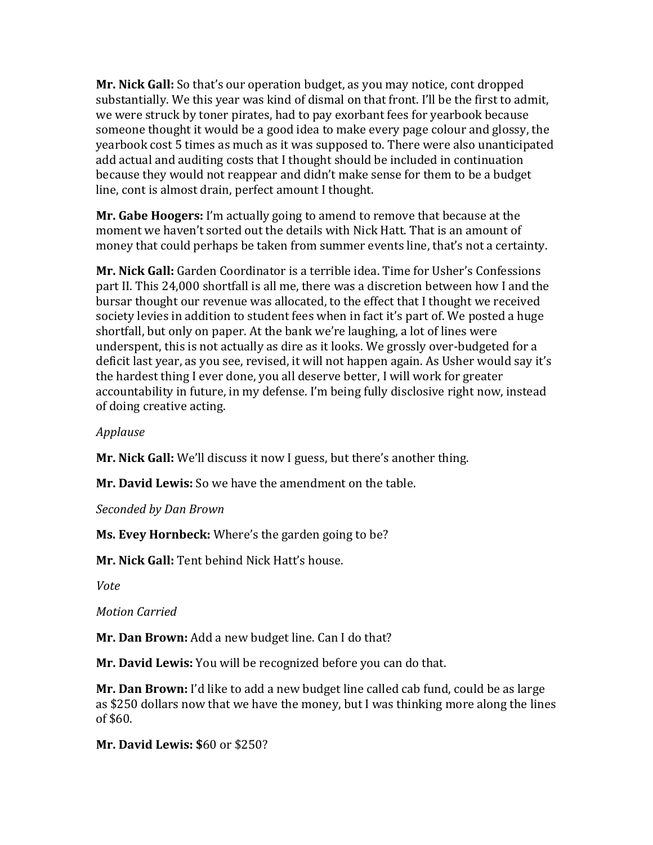**Mr. Nick Gall:** So that's our operation budget, as you may notice, cont dropped substantially. We this year was kind of dismal on that front. I'll be the first to admit, we were struck by toner pirates, had to pay exorbant fees for yearbook because someone thought it would be a good idea to make every page colour and glossy, the yearbook cost 5 times as much as it was supposed to. There were also unanticipated add actual and auditing costs that I thought should be included in continuation because they would not reappear and didn't make sense for them to be a budget line, cont is almost drain, perfect amount I thought.

**Mr. Gabe Hoogers:** I'm actually going to amend to remove that because at the moment we haven't sorted out the details with Nick Hatt. That is an amount of money that could perhaps be taken from summer events line, that's not a certainty.

**Mr. Nick Gall:** Garden Coordinator is a terrible idea. Time for Usher's Confessions part II. This 24,000 shortfall is all me, there was a discretion between how I and the bursar thought our revenue was allocated, to the effect that I thought we received society levies in addition to student fees when in fact it's part of. We posted a huge shortfall, but only on paper. At the bank we're laughing, a lot of lines were underspent, this is not actually as dire as it looks. We grossly over-budgeted for a deficit last year, as you see, revised, it will not happen again. As Usher would say it's the hardest thing I ever done, you all deserve better, I will work for greater accountability in future, in my defense. I'm being fully disclosive right now, instead of doing creative acting.

### *Applause*

**Mr. Nick Gall:** We'll discuss it now I guess, but there's another thing.

**Mr. David Lewis:** So we have the amendment on the table.

*Seconded by Dan Brown*

**Ms. Evey Hornbeck:** Where's the garden going to be?

**Mr. Nick Gall:** Tent behind Nick Hatt's house.

*Vote*

*Motion Carried*

**Mr. Dan Brown:** Add a new budget line. Can I do that?

**Mr. David Lewis:** You will be recognized before you can do that.

**Mr. Dan Brown:** I'd like to add a new budget line called cab fund, could be as large as \$250 dollars now that we have the money, but I was thinking more along the lines of \$60.

**Mr. David Lewis: \$**60 or \$250?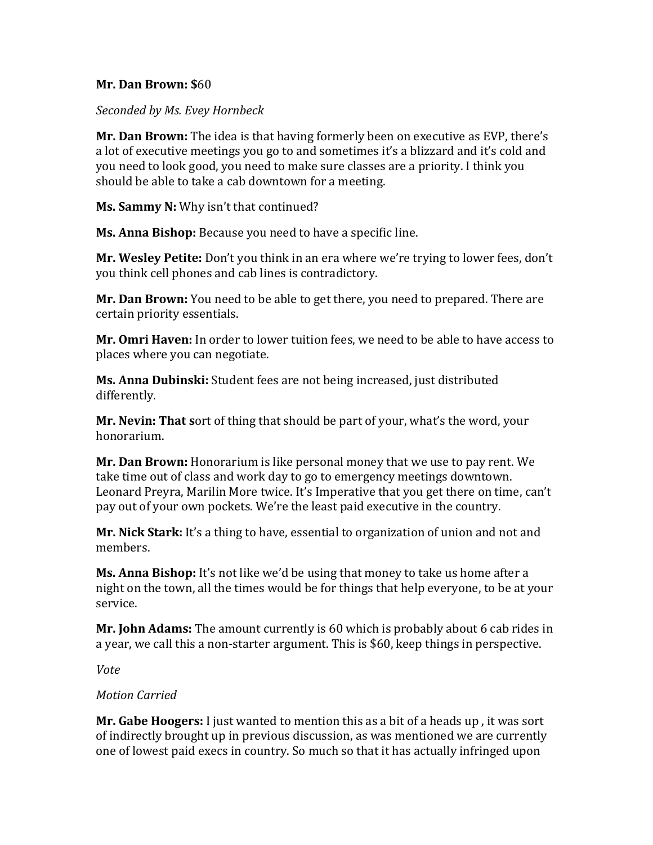### **Mr. Dan Brown: \$**60

*Seconded by Ms. Evey Hornbeck*

**Mr. Dan Brown:** The idea is that having formerly been on executive as EVP, there's a lot of executive meetings you go to and sometimes it's a blizzard and it's cold and you need to look good, you need to make sure classes are a priority. I think you should be able to take a cab downtown for a meeting.

**Ms. Sammy N:** Why isn't that continued?

**Ms. Anna Bishop:** Because you need to have a specific line.

**Mr. Wesley Petite:** Don't you think in an era where we're trying to lower fees, don't you think cell phones and cab lines is contradictory.

**Mr. Dan Brown:** You need to be able to get there, you need to prepared. There are certain priority essentials.

**Mr. Omri Haven:** In order to lower tuition fees, we need to be able to have access to places where you can negotiate.

**Ms. Anna Dubinski:** Student fees are not being increased, just distributed differently.

**Mr. Nevin: That s**ort of thing that should be part of your, what's the word, your honorarium.

**Mr. Dan Brown:** Honorarium is like personal money that we use to pay rent. We take time out of class and work day to go to emergency meetings downtown. Leonard Preyra, Marilin More twice. It's Imperative that you get there on time, can't pay out of your own pockets. We're the least paid executive in the country.

**Mr. Nick Stark:** It's a thing to have, essential to organization of union and not and members.

**Ms. Anna Bishop:** It's not like we'd be using that money to take us home after a night on the town, all the times would be for things that help everyone, to be at your service.

**Mr. John Adams:** The amount currently is 60 which is probably about 6 cab rides in a year, we call this a non-starter argument. This is \$60, keep things in perspective.

*Vote*

### *Motion Carried*

**Mr. Gabe Hoogers:** I just wanted to mention this as a bit of a heads up , it was sort of indirectly brought up in previous discussion, as was mentioned we are currently one of lowest paid execs in country. So much so that it has actually infringed upon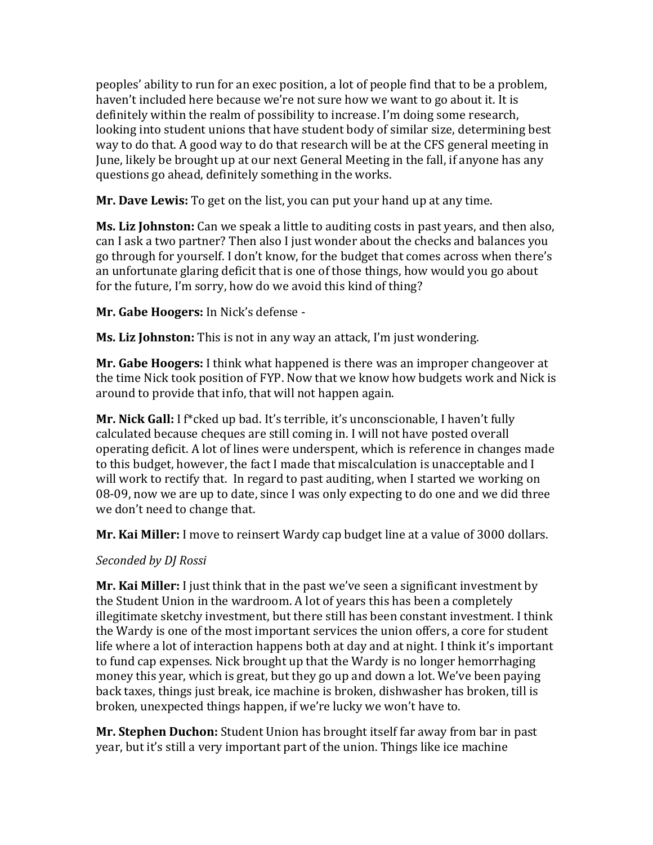peoples' ability to run for an exec position, a lot of people find that to be a problem, haven't included here because we're not sure how we want to go about it. It is definitely within the realm of possibility to increase. I'm doing some research, looking into student unions that have student body of similar size, determining best way to do that. A good way to do that research will be at the CFS general meeting in June, likely be brought up at our next General Meeting in the fall, if anyone has any questions go ahead, definitely something in the works.

**Mr. Dave Lewis:** To get on the list, you can put your hand up at any time.

**Ms. Liz Johnston:** Can we speak a little to auditing costs in past years, and then also, can I ask a two partner? Then also I just wonder about the checks and balances you go through for yourself. I don't know, for the budget that comes across when there's an unfortunate glaring deficit that is one of those things, how would you go about for the future, I'm sorry, how do we avoid this kind of thing?

**Mr. Gabe Hoogers:** In Nick's defense -

**Ms. Liz Johnston:** This is not in any way an attack, I'm just wondering.

**Mr. Gabe Hoogers:** I think what happened is there was an improper changeover at the time Nick took position of FYP. Now that we know how budgets work and Nick is around to provide that info, that will not happen again.

**Mr. Nick Gall:** I f\*cked up bad. It's terrible, it's unconscionable, I haven't fully calculated because cheques are still coming in. I will not have posted overall operating deficit. A lot of lines were underspent, which is reference in changes made to this budget, however, the fact I made that miscalculation is unacceptable and I will work to rectify that. In regard to past auditing, when I started we working on 08-09, now we are up to date, since I was only expecting to do one and we did three we don't need to change that.

**Mr. Kai Miller:** I move to reinsert Wardy cap budget line at a value of 3000 dollars.

# *Seconded by DJ Rossi*

**Mr. Kai Miller:** I just think that in the past we've seen a significant investment by the Student Union in the wardroom. A lot of years this has been a completely illegitimate sketchy investment, but there still has been constant investment. I think the Wardy is one of the most important services the union offers, a core for student life where a lot of interaction happens both at day and at night. I think it's important to fund cap expenses. Nick brought up that the Wardy is no longer hemorrhaging money this year, which is great, but they go up and down a lot. We've been paying back taxes, things just break, ice machine is broken, dishwasher has broken, till is broken, unexpected things happen, if we're lucky we won't have to.

**Mr. Stephen Duchon:** Student Union has brought itself far away from bar in past year, but it's still a very important part of the union. Things like ice machine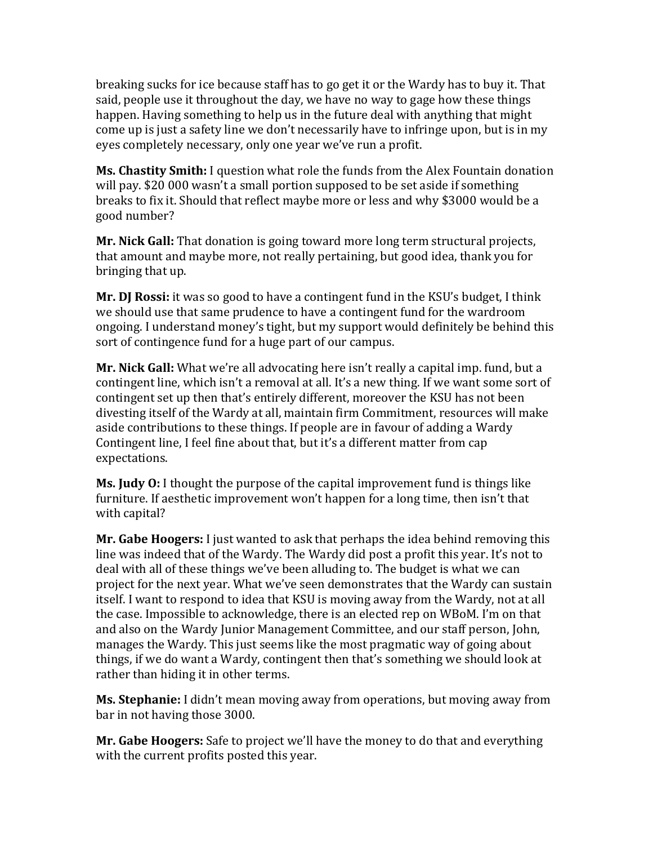breaking sucks for ice because staff has to go get it or the Wardy has to buy it. That said, people use it throughout the day, we have no way to gage how these things happen. Having something to help us in the future deal with anything that might come up is just a safety line we don't necessarily have to infringe upon, but is in my eyes completely necessary, only one year we've run a profit.

**Ms. Chastity Smith:** I question what role the funds from the Alex Fountain donation will pay. \$20 000 wasn't a small portion supposed to be set aside if something breaks to fix it. Should that reflect maybe more or less and why \$3000 would be a good number?

**Mr. Nick Gall:** That donation is going toward more long term structural projects, that amount and maybe more, not really pertaining, but good idea, thank you for bringing that up.

**Mr. DJ Rossi:** it was so good to have a contingent fund in the KSU's budget, I think we should use that same prudence to have a contingent fund for the wardroom ongoing. I understand money's tight, but my support would definitely be behind this sort of contingence fund for a huge part of our campus.

**Mr. Nick Gall:** What we're all advocating here isn't really a capital imp. fund, but a contingent line, which isn't a removal at all. It's a new thing. If we want some sort of contingent set up then that's entirely different, moreover the KSU has not been divesting itself of the Wardy at all, maintain firm Commitment, resources will make aside contributions to these things. If people are in favour of adding a Wardy Contingent line, I feel fine about that, but it's a different matter from cap expectations.

**Ms. Judy O:** I thought the purpose of the capital improvement fund is things like furniture. If aesthetic improvement won't happen for a long time, then isn't that with capital?

**Mr. Gabe Hoogers:** I just wanted to ask that perhaps the idea behind removing this line was indeed that of the Wardy. The Wardy did post a profit this year. It's not to deal with all of these things we've been alluding to. The budget is what we can project for the next year. What we've seen demonstrates that the Wardy can sustain itself. I want to respond to idea that KSU is moving away from the Wardy, not at all the case. Impossible to acknowledge, there is an elected rep on WBoM. I'm on that and also on the Wardy Junior Management Committee, and our staff person, John, manages the Wardy. This just seems like the most pragmatic way of going about things, if we do want a Wardy, contingent then that's something we should look at rather than hiding it in other terms.

**Ms. Stephanie:** I didn't mean moving away from operations, but moving away from bar in not having those 3000.

**Mr. Gabe Hoogers:** Safe to project we'll have the money to do that and everything with the current profits posted this year.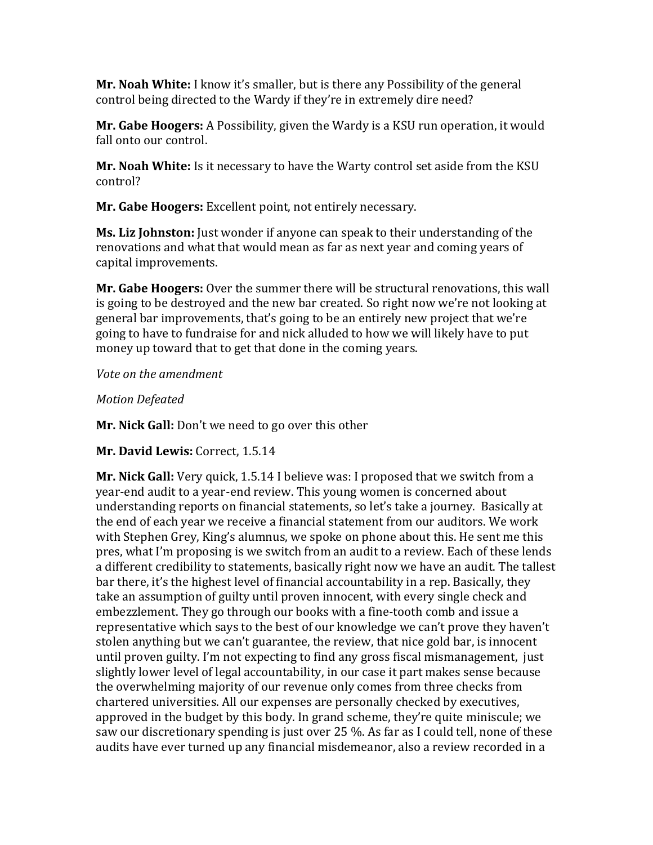**Mr. Noah White:** I know it's smaller, but is there any Possibility of the general control being directed to the Wardy if they're in extremely dire need?

**Mr. Gabe Hoogers:** A Possibility, given the Wardy is a KSU run operation, it would fall onto our control.

**Mr. Noah White:** Is it necessary to have the Warty control set aside from the KSU control?

**Mr. Gabe Hoogers:** Excellent point, not entirely necessary.

**Ms. Liz Johnston:** Just wonder if anyone can speak to their understanding of the renovations and what that would mean as far as next year and coming years of capital improvements.

**Mr. Gabe Hoogers:** Over the summer there will be structural renovations, this wall is going to be destroyed and the new bar created. So right now we're not looking at general bar improvements, that's going to be an entirely new project that we're going to have to fundraise for and nick alluded to how we will likely have to put money up toward that to get that done in the coming years.

*Vote on the amendment*

*Motion Defeated*

**Mr. Nick Gall:** Don't we need to go over this other

**Mr. David Lewis:** Correct, 1.5.14

**Mr. Nick Gall:** Very quick, 1.5.14 I believe was: I proposed that we switch from a year-end audit to a year-end review. This young women is concerned about understanding reports on financial statements, so let's take a journey. Basically at the end of each year we receive a financial statement from our auditors. We work with Stephen Grey, King's alumnus, we spoke on phone about this. He sent me this pres, what I'm proposing is we switch from an audit to a review. Each of these lends a different credibility to statements, basically right now we have an audit. The tallest bar there, it's the highest level of financial accountability in a rep. Basically, they take an assumption of guilty until proven innocent, with every single check and embezzlement. They go through our books with a fine-tooth comb and issue a representative which says to the best of our knowledge we can't prove they haven't stolen anything but we can't guarantee, the review, that nice gold bar, is innocent until proven guilty. I'm not expecting to find any gross fiscal mismanagement, just slightly lower level of legal accountability, in our case it part makes sense because the overwhelming majority of our revenue only comes from three checks from chartered universities. All our expenses are personally checked by executives, approved in the budget by this body. In grand scheme, they're quite miniscule; we saw our discretionary spending is just over 25 %. As far as I could tell, none of these audits have ever turned up any financial misdemeanor, also a review recorded in a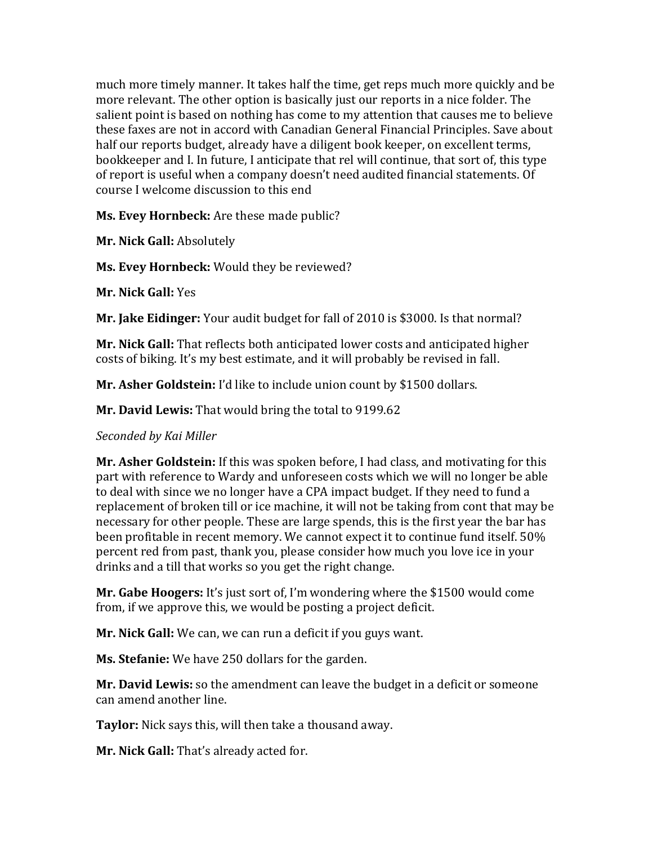much more timely manner. It takes half the time, get reps much more quickly and be more relevant. The other option is basically just our reports in a nice folder. The salient point is based on nothing has come to my attention that causes me to believe these faxes are not in accord with Canadian General Financial Principles. Save about half our reports budget, already have a diligent book keeper, on excellent terms, bookkeeper and I. In future, I anticipate that rel will continue, that sort of, this type of report is useful when a company doesn't need audited financial statements. Of course I welcome discussion to this end

**Ms. Evey Hornbeck:** Are these made public?

**Mr. Nick Gall:** Absolutely

**Ms. Evey Hornbeck:** Would they be reviewed?

**Mr. Nick Gall:** Yes

**Mr. Jake Eidinger:** Your audit budget for fall of 2010 is \$3000. Is that normal?

**Mr. Nick Gall:** That reflects both anticipated lower costs and anticipated higher costs of biking. It's my best estimate, and it will probably be revised in fall.

**Mr. Asher Goldstein:** I'd like to include union count by \$1500 dollars.

**Mr. David Lewis:** That would bring the total to 9199.62

### *Seconded by Kai Miller*

**Mr. Asher Goldstein:** If this was spoken before, I had class, and motivating for this part with reference to Wardy and unforeseen costs which we will no longer be able to deal with since we no longer have a CPA impact budget. If they need to fund a replacement of broken till or ice machine, it will not be taking from cont that may be necessary for other people. These are large spends, this is the first year the bar has been profitable in recent memory. We cannot expect it to continue fund itself. 50% percent red from past, thank you, please consider how much you love ice in your drinks and a till that works so you get the right change.

**Mr. Gabe Hoogers:** It's just sort of, I'm wondering where the \$1500 would come from, if we approve this, we would be posting a project deficit.

**Mr. Nick Gall:** We can, we can run a deficit if you guys want.

**Ms. Stefanie:** We have 250 dollars for the garden.

**Mr. David Lewis:** so the amendment can leave the budget in a deficit or someone can amend another line.

**Taylor:** Nick says this, will then take a thousand away.

**Mr. Nick Gall:** That's already acted for.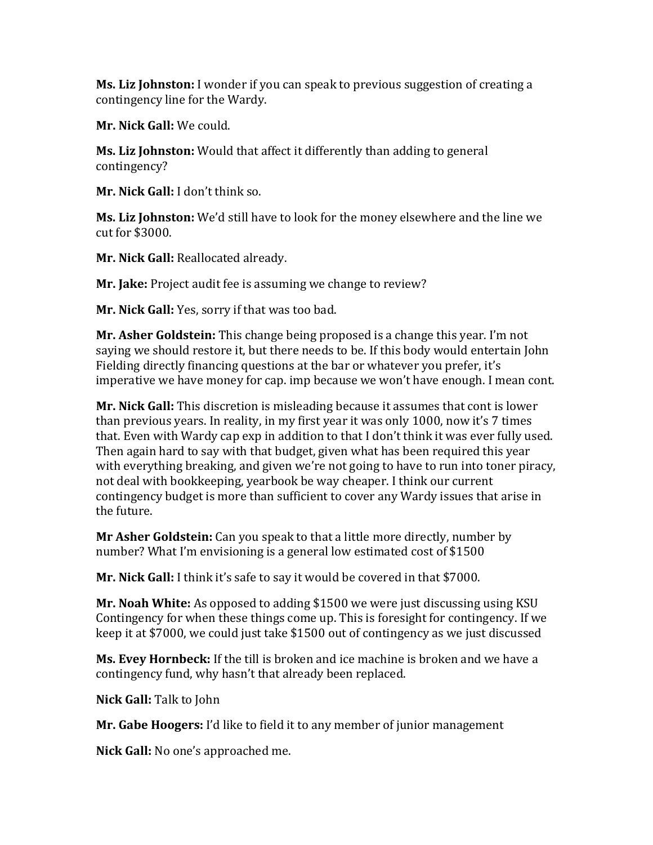**Ms. Liz Johnston:** I wonder if you can speak to previous suggestion of creating a contingency line for the Wardy.

**Mr. Nick Gall:** We could.

**Ms. Liz Johnston:** Would that affect it differently than adding to general contingency?

**Mr. Nick Gall:** I don't think so.

**Ms. Liz Johnston:** We'd still have to look for the money elsewhere and the line we cut for \$3000.

**Mr. Nick Gall:** Reallocated already.

**Mr. Jake:** Project audit fee is assuming we change to review?

**Mr. Nick Gall:** Yes, sorry if that was too bad.

**Mr. Asher Goldstein:** This change being proposed is a change this year. I'm not saying we should restore it, but there needs to be. If this body would entertain John Fielding directly financing questions at the bar or whatever you prefer, it's imperative we have money for cap. imp because we won't have enough. I mean cont.

**Mr. Nick Gall:** This discretion is misleading because it assumes that cont is lower than previous years. In reality, in my first year it was only 1000, now it's 7 times that. Even with Wardy cap exp in addition to that I don't think it was ever fully used. Then again hard to say with that budget, given what has been required this year with everything breaking, and given we're not going to have to run into toner piracy, not deal with bookkeeping, yearbook be way cheaper. I think our current contingency budget is more than sufficient to cover any Wardy issues that arise in the future.

**Mr Asher Goldstein:** Can you speak to that a little more directly, number by number? What I'm envisioning is a general low estimated cost of \$1500

**Mr. Nick Gall:** I think it's safe to say it would be covered in that \$7000.

**Mr. Noah White:** As opposed to adding \$1500 we were just discussing using KSU Contingency for when these things come up. This is foresight for contingency. If we keep it at \$7000, we could just take \$1500 out of contingency as we just discussed

**Ms. Evey Hornbeck:** If the till is broken and ice machine is broken and we have a contingency fund, why hasn't that already been replaced.

**Nick Gall:** Talk to John

**Mr. Gabe Hoogers:** I'd like to field it to any member of junior management

**Nick Gall:** No one's approached me.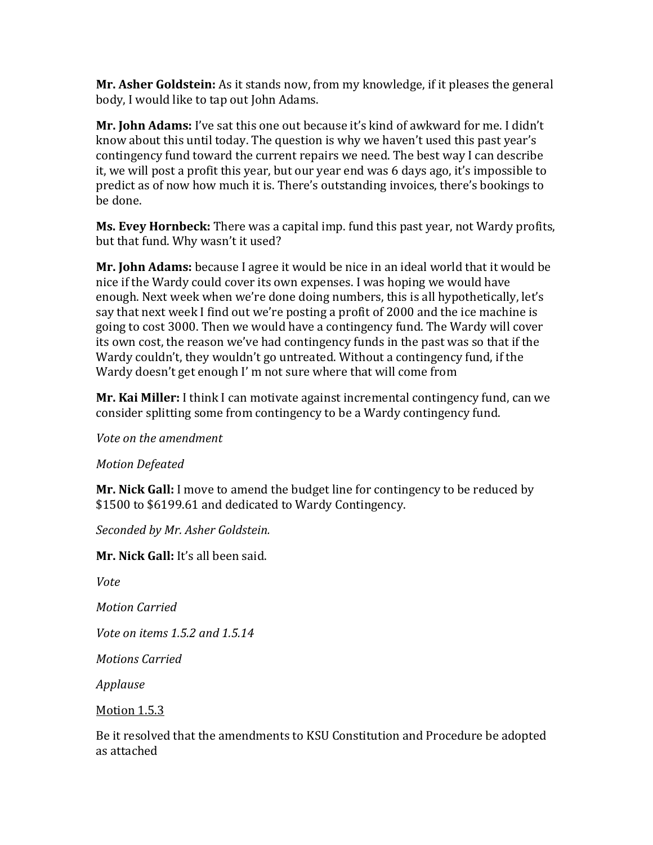**Mr. Asher Goldstein:** As it stands now, from my knowledge, if it pleases the general body, I would like to tap out John Adams.

**Mr. John Adams:** I've sat this one out because it's kind of awkward for me. I didn't know about this until today. The question is why we haven't used this past year's contingency fund toward the current repairs we need. The best way I can describe it, we will post a profit this year, but our year end was 6 days ago, it's impossible to predict as of now how much it is. There's outstanding invoices, there's bookings to be done.

**Ms. Evey Hornbeck:** There was a capital imp. fund this past year, not Wardy profits, but that fund. Why wasn't it used?

**Mr. John Adams:** because I agree it would be nice in an ideal world that it would be nice if the Wardy could cover its own expenses. I was hoping we would have enough. Next week when we're done doing numbers, this is all hypothetically, let's say that next week I find out we're posting a profit of 2000 and the ice machine is going to cost 3000. Then we would have a contingency fund. The Wardy will cover its own cost, the reason we've had contingency funds in the past was so that if the Wardy couldn't, they wouldn't go untreated. Without a contingency fund, if the Wardy doesn't get enough I' m not sure where that will come from

**Mr. Kai Miller:** I think I can motivate against incremental contingency fund, can we consider splitting some from contingency to be a Wardy contingency fund.

*Vote on the amendment*

*Motion Defeated*

**Mr. Nick Gall:** I move to amend the budget line for contingency to be reduced by \$1500 to \$6199.61 and dedicated to Wardy Contingency.

*Seconded by Mr. Asher Goldstein.*

**Mr. Nick Gall:** It's all been said.

*Vote*

*Motion Carried*

*Vote on items 1.5.2 and 1.5.14*

*Motions Carried*

*Applause*

Motion 1.5.3

Be it resolved that the amendments to KSU Constitution and Procedure be adopted as attached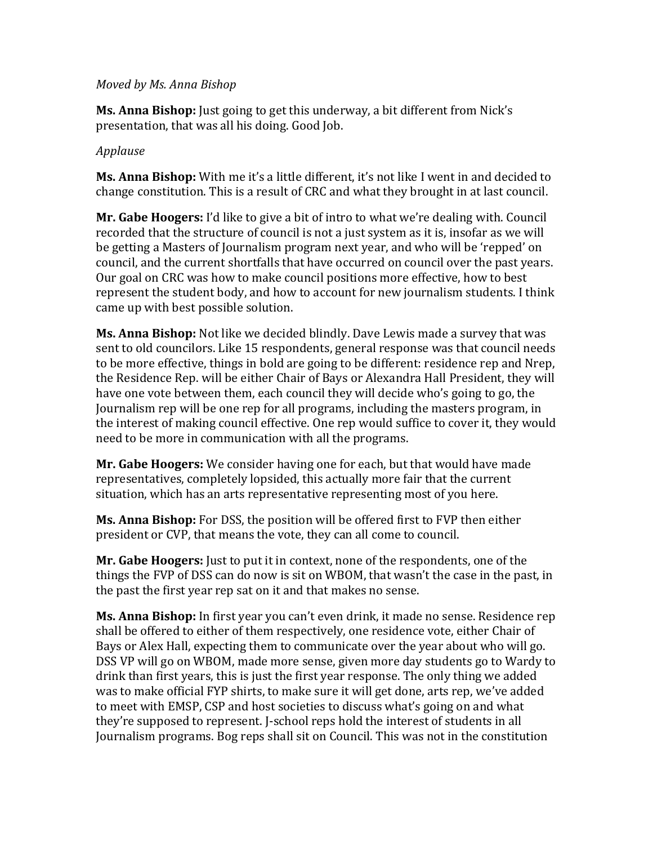#### *Moved by Ms. Anna Bishop*

**Ms. Anna Bishop:** Just going to get this underway, a bit different from Nick's presentation, that was all his doing. Good Job.

### *Applause*

**Ms. Anna Bishop:** With me it's a little different, it's not like I went in and decided to change constitution. This is a result of CRC and what they brought in at last council.

**Mr. Gabe Hoogers:** I'd like to give a bit of intro to what we're dealing with. Council recorded that the structure of council is not a just system as it is, insofar as we will be getting a Masters of Journalism program next year, and who will be 'repped' on council, and the current shortfalls that have occurred on council over the past years. Our goal on CRC was how to make council positions more effective, how to best represent the student body, and how to account for new journalism students. I think came up with best possible solution.

**Ms. Anna Bishop:** Not like we decided blindly. Dave Lewis made a survey that was sent to old councilors. Like 15 respondents, general response was that council needs to be more effective, things in bold are going to be different: residence rep and Nrep, the Residence Rep. will be either Chair of Bays or Alexandra Hall President, they will have one vote between them, each council they will decide who's going to go, the Journalism rep will be one rep for all programs, including the masters program, in the interest of making council effective. One rep would suffice to cover it, they would need to be more in communication with all the programs.

**Mr. Gabe Hoogers:** We consider having one for each, but that would have made representatives, completely lopsided, this actually more fair that the current situation, which has an arts representative representing most of you here.

**Ms. Anna Bishop:** For DSS, the position will be offered first to FVP then either president or CVP, that means the vote, they can all come to council.

**Mr. Gabe Hoogers:** Just to put it in context, none of the respondents, one of the things the FVP of DSS can do now is sit on WBOM, that wasn't the case in the past, in the past the first year rep sat on it and that makes no sense.

**Ms. Anna Bishop:** In first year you can't even drink, it made no sense. Residence rep shall be offered to either of them respectively, one residence vote, either Chair of Bays or Alex Hall, expecting them to communicate over the year about who will go. DSS VP will go on WBOM, made more sense, given more day students go to Wardy to drink than first years, this is just the first year response. The only thing we added was to make official FYP shirts, to make sure it will get done, arts rep, we've added to meet with EMSP, CSP and host societies to discuss what's going on and what they're supposed to represent. J-school reps hold the interest of students in all Journalism programs. Bog reps shall sit on Council. This was not in the constitution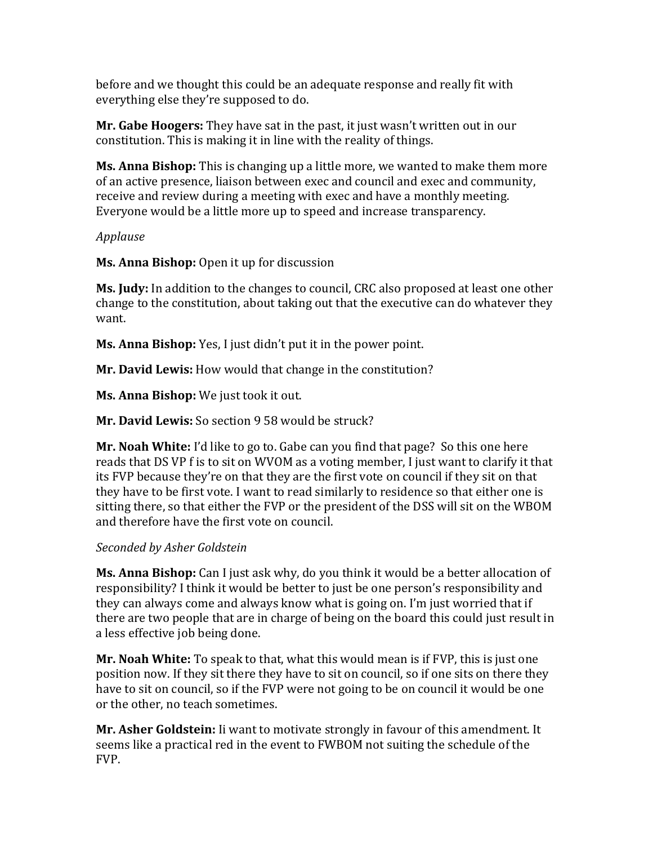before and we thought this could be an adequate response and really fit with everything else they're supposed to do.

**Mr. Gabe Hoogers:** They have sat in the past, it just wasn't written out in our constitution. This is making it in line with the reality of things.

**Ms. Anna Bishop:** This is changing up a little more, we wanted to make them more of an active presence, liaison between exec and council and exec and community, receive and review during a meeting with exec and have a monthly meeting. Everyone would be a little more up to speed and increase transparency.

## *Applause*

**Ms. Anna Bishop:** Open it up for discussion

**Ms. Judy:** In addition to the changes to council, CRC also proposed at least one other change to the constitution, about taking out that the executive can do whatever they want.

**Ms. Anna Bishop:** Yes, I just didn't put it in the power point.

**Mr. David Lewis:** How would that change in the constitution?

**Ms. Anna Bishop:** We just took it out.

**Mr. David Lewis:** So section 9 58 would be struck?

**Mr. Noah White:** I'd like to go to. Gabe can you find that page? So this one here reads that DS VP f is to sit on WVOM as a voting member, I just want to clarify it that its FVP because they're on that they are the first vote on council if they sit on that they have to be first vote. I want to read similarly to residence so that either one is sitting there, so that either the FVP or the president of the DSS will sit on the WBOM and therefore have the first vote on council.

# *Seconded by Asher Goldstein*

**Ms. Anna Bishop:** Can I just ask why, do you think it would be a better allocation of responsibility? I think it would be better to just be one person's responsibility and they can always come and always know what is going on. I'm just worried that if there are two people that are in charge of being on the board this could just result in a less effective job being done.

**Mr. Noah White:** To speak to that, what this would mean is if FVP, this is just one position now. If they sit there they have to sit on council, so if one sits on there they have to sit on council, so if the FVP were not going to be on council it would be one or the other, no teach sometimes.

**Mr. Asher Goldstein:** Ii want to motivate strongly in favour of this amendment. It seems like a practical red in the event to FWBOM not suiting the schedule of the FVP.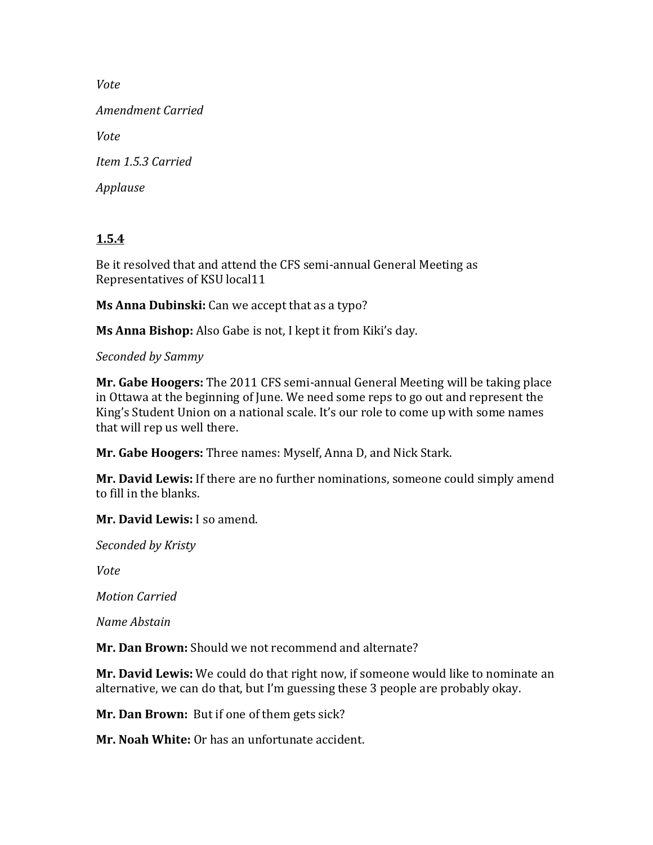*Vote*

*Amendment Carried*

*Vote*

*Item 1.5.3 Carried*

*Applause*

# **1.5.4**

Be it resolved that and attend the CFS semi-annual General Meeting as Representatives of KSU local11

**Ms Anna Dubinski:** Can we accept that as a typo?

**Ms Anna Bishop:** Also Gabe is not, I kept it from Kiki's day.

*Seconded by Sammy*

**Mr. Gabe Hoogers:** The 2011 CFS semi-annual General Meeting will be taking place in Ottawa at the beginning of June. We need some reps to go out and represent the King's Student Union on a national scale. It's our role to come up with some names that will rep us well there.

**Mr. Gabe Hoogers:** Three names: Myself, Anna D, and Nick Stark.

**Mr. David Lewis:** If there are no further nominations, someone could simply amend to fill in the blanks.

**Mr. David Lewis:** I so amend.

*Seconded by Kristy*

*Vote*

*Motion Carried*

*Name Abstain*

**Mr. Dan Brown:** Should we not recommend and alternate?

**Mr. David Lewis:** We could do that right now, if someone would like to nominate an alternative, we can do that, but I'm guessing these 3 people are probably okay.

**Mr. Dan Brown:** But if one of them gets sick?

**Mr. Noah White:** Or has an unfortunate accident.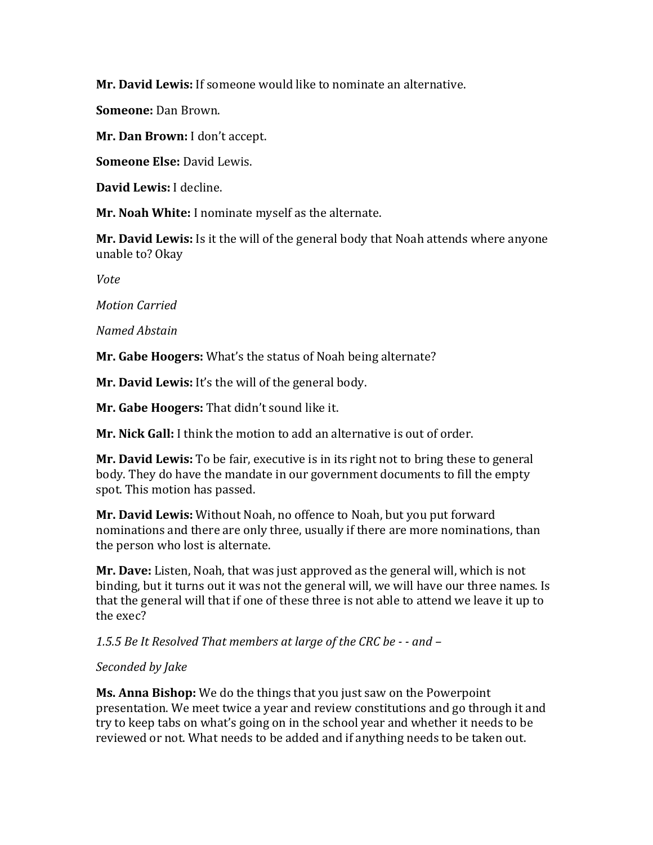**Mr. David Lewis:** If someone would like to nominate an alternative.

**Someone:** Dan Brown.

**Mr. Dan Brown:** I don't accept.

**Someone Else:** David Lewis.

**David Lewis:** I decline.

**Mr. Noah White:** I nominate myself as the alternate.

**Mr. David Lewis:** Is it the will of the general body that Noah attends where anyone unable to? Okay

*Vote*

*Motion Carried*

### *Named Abstain*

**Mr. Gabe Hoogers:** What's the status of Noah being alternate?

**Mr. David Lewis:** It's the will of the general body.

**Mr. Gabe Hoogers:** That didn't sound like it.

**Mr. Nick Gall:** I think the motion to add an alternative is out of order.

**Mr. David Lewis:** To be fair, executive is in its right not to bring these to general body. They do have the mandate in our government documents to fill the empty spot. This motion has passed.

**Mr. David Lewis:** Without Noah, no offence to Noah, but you put forward nominations and there are only three, usually if there are more nominations, than the person who lost is alternate.

**Mr. Dave:** Listen, Noah, that was just approved as the general will, which is not binding, but it turns out it was not the general will, we will have our three names. Is that the general will that if one of these three is not able to attend we leave it up to the exec?

*1.5.5 Be It Resolved That members at large of the CRC be - - and –*

# *Seconded by Jake*

**Ms. Anna Bishop:** We do the things that you just saw on the Powerpoint presentation. We meet twice a year and review constitutions and go through it and try to keep tabs on what's going on in the school year and whether it needs to be reviewed or not. What needs to be added and if anything needs to be taken out.